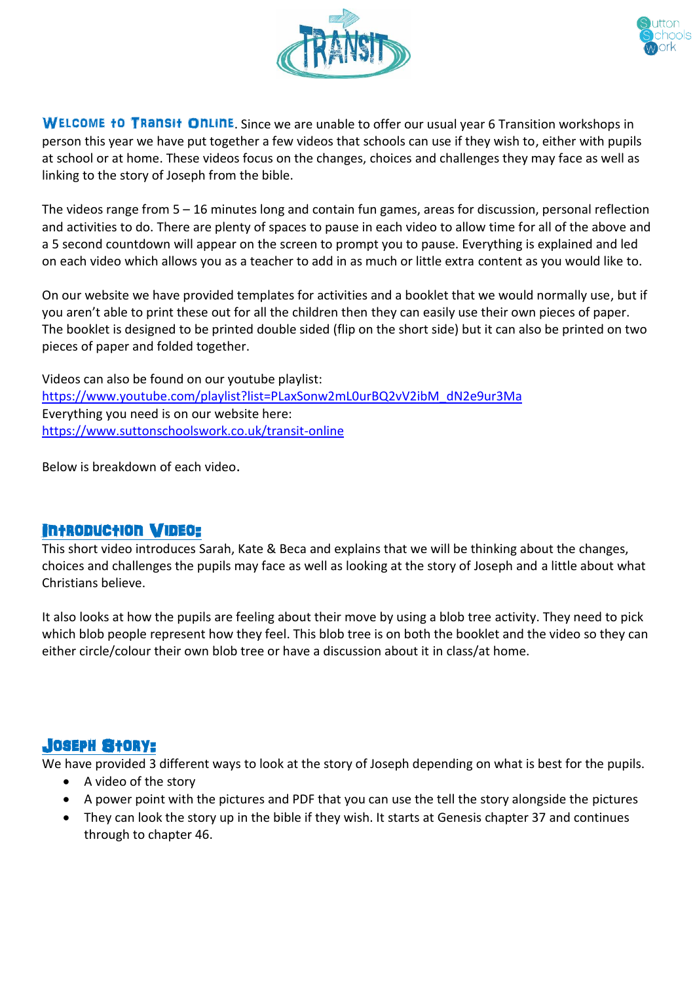



WELCOME **to Transit Online**. Since we are unable to offer our usual year 6 Transition workshops in person this year we have put together a few videos that schools can use if they wish to, either with pupils at school or at home. These videos focus on the changes, choices and challenges they may face as well as linking to the story of Joseph from the bible.

The videos range from 5 – 16 minutes long and contain fun games, areas for discussion, personal reflection and activities to do. There are plenty of spaces to pause in each video to allow time for all of the above and a 5 second countdown will appear on the screen to prompt you to pause. Everything is explained and led on each video which allows you as a teacher to add in as much or little extra content as you would like to.

On our website we have provided templates for activities and a booklet that we would normally use, but if you aren't able to print these out for all the children then they can easily use their own pieces of paper. The booklet is designed to be printed double sided (flip on the short side) but it can also be printed on two pieces of paper and folded together.

Videos can also be found on our youtube playlist: [https://www.youtube.com/playlist?list=PLaxSonw2mL0urBQ2vV2ibM\\_dN2e9ur3Ma](https://www.youtube.com/playlist?list=PLaxSonw2mL0urBQ2vV2ibM_dN2e9ur3Ma) Everything you need is on our website here: <https://www.suttonschoolswork.co.uk/transit-online>

Below is breakdown of each video.

#### Introduction Video:

This short video introduces Sarah, Kate & Beca and explains that we will be thinking about the changes, choices and challenges the pupils may face as well as looking at the story of Joseph and a little about what Christians believe.

It also looks at how the pupils are feeling about their move by using a blob tree activity. They need to pick which blob people represent how they feel. This blob tree is on both the booklet and the video so they can either circle/colour their own blob tree or have a discussion about it in class/at home.

#### Joseph Story:

We have provided 3 different ways to look at the story of Joseph depending on what is best for the pupils.

- A video of the story
- A power point with the pictures and PDF that you can use the tell the story alongside the pictures
- They can look the story up in the bible if they wish. It starts at Genesis chapter 37 and continues through to chapter 46.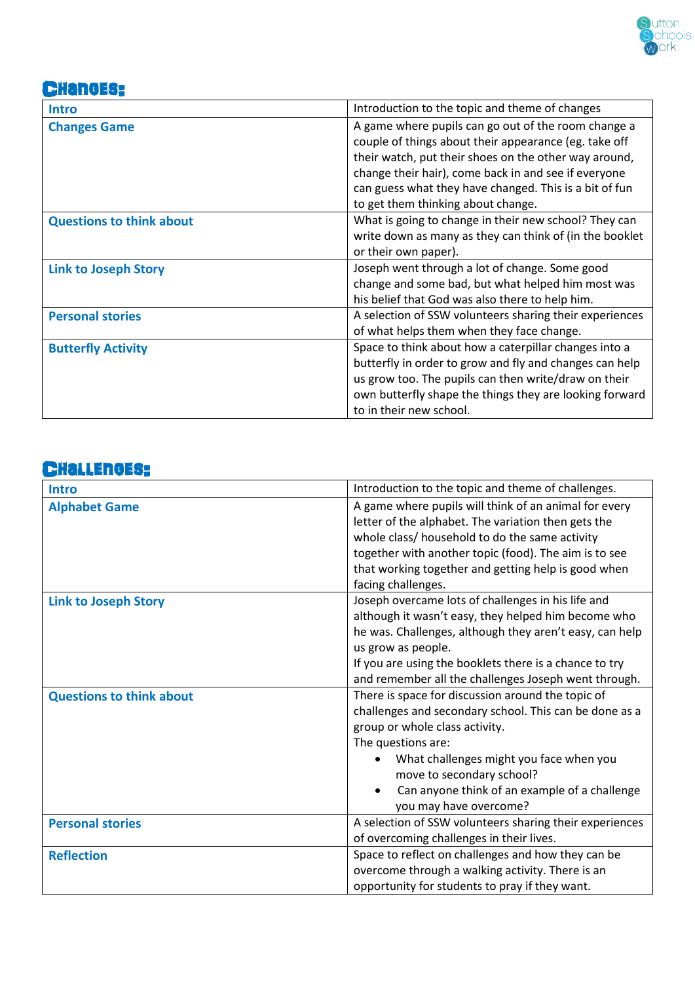

## **CHanges:**

| <b>Intro</b>                    | Introduction to the topic and theme of changes          |
|---------------------------------|---------------------------------------------------------|
|                                 |                                                         |
| <b>Changes Game</b>             | A game where pupils can go out of the room change a     |
|                                 | couple of things about their appearance (eg. take off   |
|                                 | their watch, put their shoes on the other way around,   |
|                                 | change their hair), come back in and see if everyone    |
|                                 | can guess what they have changed. This is a bit of fun  |
|                                 | to get them thinking about change.                      |
| <b>Questions to think about</b> | What is going to change in their new school? They can   |
|                                 | write down as many as they can think of (in the booklet |
|                                 | or their own paper).                                    |
| <b>Link to Joseph Story</b>     | Joseph went through a lot of change. Some good          |
|                                 | change and some bad, but what helped him most was       |
|                                 | his belief that God was also there to help him.         |
| <b>Personal stories</b>         | A selection of SSW volunteers sharing their experiences |
|                                 | of what helps them when they face change.               |
| <b>Butterfly Activity</b>       | Space to think about how a caterpillar changes into a   |
|                                 | butterfly in order to grow and fly and changes can help |
|                                 | us grow too. The pupils can then write/draw on their    |
|                                 | own butterfly shape the things they are looking forward |
|                                 | to in their new school.                                 |

## Challenges:

| <b>Intro</b>                    | Introduction to the topic and theme of challenges.      |
|---------------------------------|---------------------------------------------------------|
| <b>Alphabet Game</b>            | A game where pupils will think of an animal for every   |
|                                 | letter of the alphabet. The variation then gets the     |
|                                 | whole class/ household to do the same activity          |
|                                 | together with another topic (food). The aim is to see   |
|                                 | that working together and getting help is good when     |
|                                 | facing challenges.                                      |
| <b>Link to Joseph Story</b>     | Joseph overcame lots of challenges in his life and      |
|                                 | although it wasn't easy, they helped him become who     |
|                                 | he was. Challenges, although they aren't easy, can help |
|                                 | us grow as people.                                      |
|                                 | If you are using the booklets there is a chance to try  |
|                                 | and remember all the challenges Joseph went through.    |
| <b>Questions to think about</b> | There is space for discussion around the topic of       |
|                                 | challenges and secondary school. This can be done as a  |
|                                 | group or whole class activity.                          |
|                                 | The questions are:                                      |
|                                 | What challenges might you face when you                 |
|                                 | move to secondary school?                               |
|                                 | Can anyone think of an example of a challenge           |
|                                 | you may have overcome?                                  |
| <b>Personal stories</b>         | A selection of SSW volunteers sharing their experiences |
|                                 | of overcoming challenges in their lives.                |
| <b>Reflection</b>               | Space to reflect on challenges and how they can be      |
|                                 | overcome through a walking activity. There is an        |
|                                 | opportunity for students to pray if they want.          |